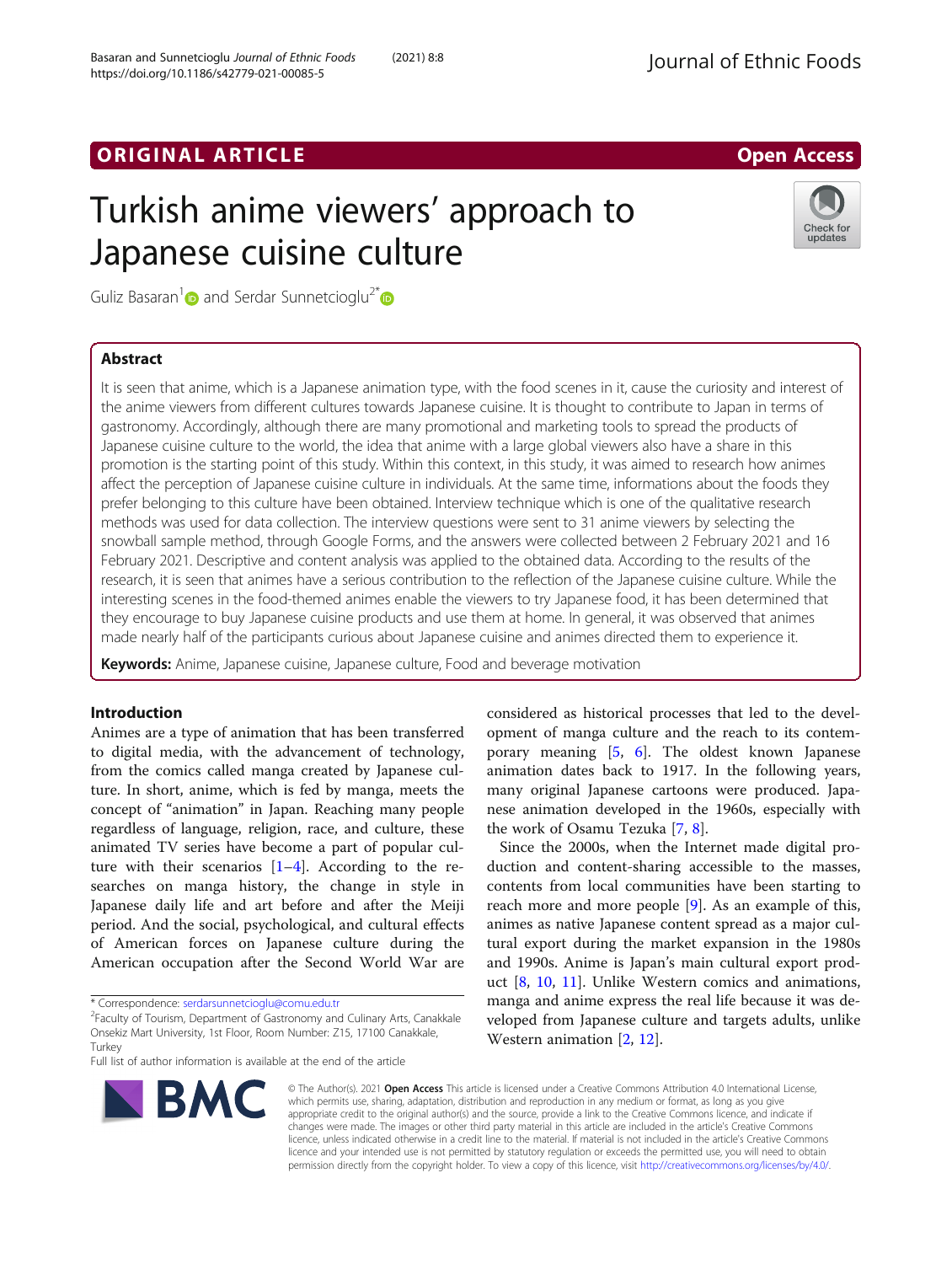## ORIGINAL ARTICLE AND INTERNATIONAL ARTICLE AND LODGED ACCESS

# Turkish anime viewers' approach to Japanese cuisine culture



Guliz Basaran<sup>1</sup> and Serdar Sunnetcioglu<sup>2\*</sup>

## Abstract

It is seen that anime, which is a Japanese animation type, with the food scenes in it, cause the curiosity and interest of the anime viewers from different cultures towards Japanese cuisine. It is thought to contribute to Japan in terms of gastronomy. Accordingly, although there are many promotional and marketing tools to spread the products of Japanese cuisine culture to the world, the idea that anime with a large global viewers also have a share in this promotion is the starting point of this study. Within this context, in this study, it was aimed to research how animes affect the perception of Japanese cuisine culture in individuals. At the same time, informations about the foods they prefer belonging to this culture have been obtained. Interview technique which is one of the qualitative research methods was used for data collection. The interview questions were sent to 31 anime viewers by selecting the snowball sample method, through Google Forms, and the answers were collected between 2 February 2021 and 16 February 2021. Descriptive and content analysis was applied to the obtained data. According to the results of the research, it is seen that animes have a serious contribution to the reflection of the Japanese cuisine culture. While the interesting scenes in the food-themed animes enable the viewers to try Japanese food, it has been determined that they encourage to buy Japanese cuisine products and use them at home. In general, it was observed that animes made nearly half of the participants curious about Japanese cuisine and animes directed them to experience it.

Keywords: Anime, Japanese cuisine, Japanese culture, Food and beverage motivation

## Introduction

Animes are a type of animation that has been transferred to digital media, with the advancement of technology, from the comics called manga created by Japanese culture. In short, anime, which is fed by manga, meets the concept of "animation" in Japan. Reaching many people regardless of language, religion, race, and culture, these animated TV series have become a part of popular culture with their scenarios  $[1-4]$  $[1-4]$  $[1-4]$  $[1-4]$  $[1-4]$ . According to the researches on manga history, the change in style in Japanese daily life and art before and after the Meiji period. And the social, psychological, and cultural effects of American forces on Japanese culture during the American occupation after the Second World War are

Full list of author information is available at the end of the article



considered as historical processes that led to the development of manga culture and the reach to its contemporary meaning [\[5](#page-10-0), [6](#page-10-0)]. The oldest known Japanese animation dates back to 1917. In the following years, many original Japanese cartoons were produced. Japanese animation developed in the 1960s, especially with the work of Osamu Tezuka [\[7](#page-10-0), [8](#page-10-0)].

Since the 2000s, when the Internet made digital production and content-sharing accessible to the masses, contents from local communities have been starting to reach more and more people [[9\]](#page-10-0). As an example of this, animes as native Japanese content spread as a major cultural export during the market expansion in the 1980s and 1990s. Anime is Japan's main cultural export product [[8,](#page-10-0) [10](#page-10-0), [11](#page-10-0)]. Unlike Western comics and animations, manga and anime express the real life because it was developed from Japanese culture and targets adults, unlike Western animation [[2,](#page-10-0) [12\]](#page-10-0).

© The Author(s). 2021 Open Access This article is licensed under a Creative Commons Attribution 4.0 International License, which permits use, sharing, adaptation, distribution and reproduction in any medium or format, as long as you give appropriate credit to the original author(s) and the source, provide a link to the Creative Commons licence, and indicate if changes were made. The images or other third party material in this article are included in the article's Creative Commons licence, unless indicated otherwise in a credit line to the material. If material is not included in the article's Creative Commons licence and your intended use is not permitted by statutory regulation or exceeds the permitted use, you will need to obtain permission directly from the copyright holder. To view a copy of this licence, visit [http://creativecommons.org/licenses/by/4.0/.](http://creativecommons.org/licenses/by/4.0/)

<sup>\*</sup> Correspondence: [serdarsunnetcioglu@comu.edu.tr](mailto:serdarsunnetcioglu@comu.edu.tr) <sup>2</sup>

Faculty of Tourism, Department of Gastronomy and Culinary Arts, Canakkale Onsekiz Mart University, 1st Floor, Room Number: Z15, 17100 Canakkale, **Turkey**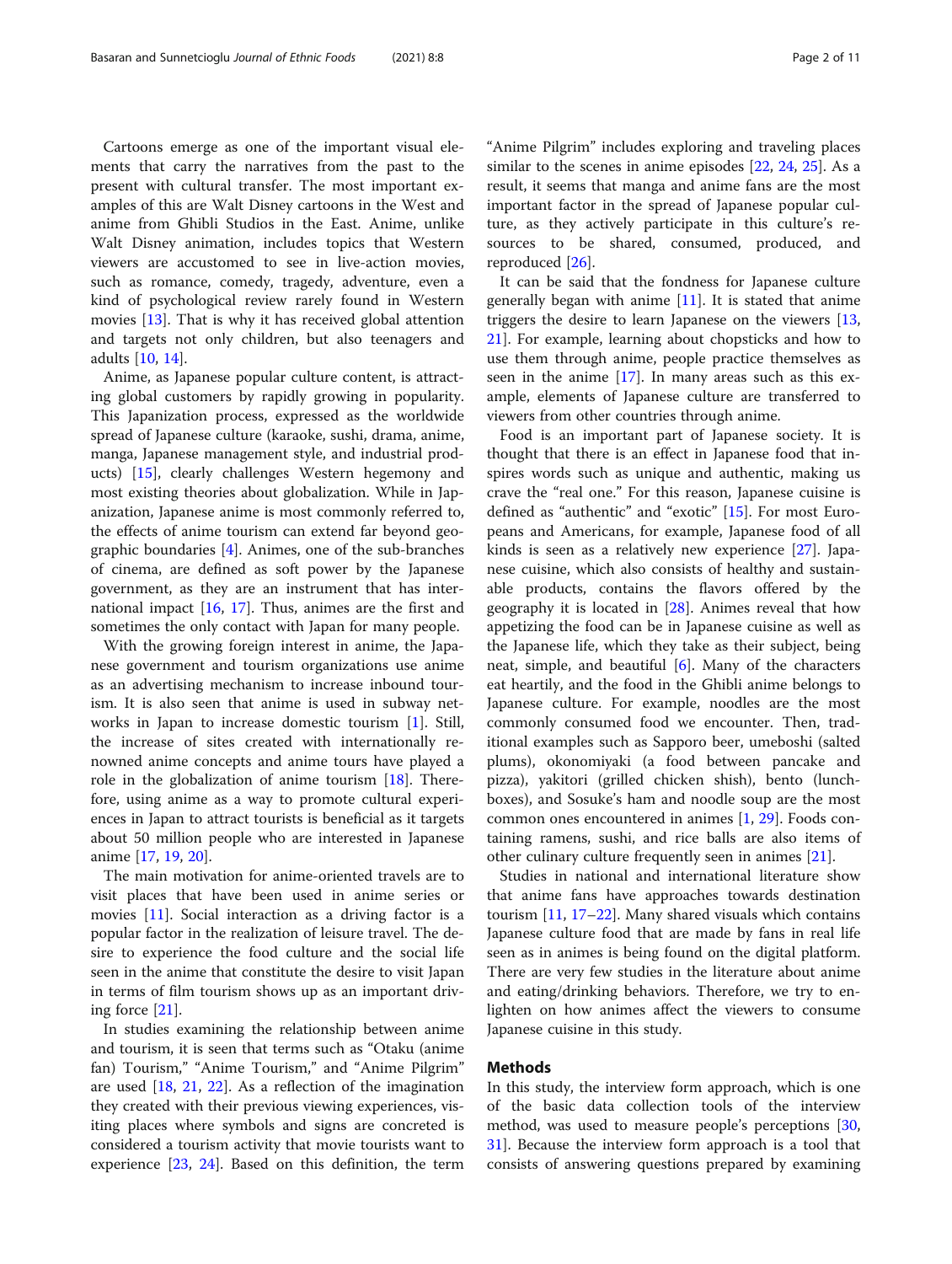Cartoons emerge as one of the important visual elements that carry the narratives from the past to the present with cultural transfer. The most important examples of this are Walt Disney cartoons in the West and anime from Ghibli Studios in the East. Anime, unlike Walt Disney animation, includes topics that Western viewers are accustomed to see in live-action movies, such as romance, comedy, tragedy, adventure, even a kind of psychological review rarely found in Western movies [[13\]](#page-10-0). That is why it has received global attention and targets not only children, but also teenagers and adults [\[10](#page-10-0), [14\]](#page-10-0).

Anime, as Japanese popular culture content, is attracting global customers by rapidly growing in popularity. This Japanization process, expressed as the worldwide spread of Japanese culture (karaoke, sushi, drama, anime, manga, Japanese management style, and industrial products) [[15](#page-10-0)], clearly challenges Western hegemony and most existing theories about globalization. While in Japanization, Japanese anime is most commonly referred to, the effects of anime tourism can extend far beyond geographic boundaries [\[4](#page-10-0)]. Animes, one of the sub-branches of cinema, are defined as soft power by the Japanese government, as they are an instrument that has international impact [\[16](#page-10-0), [17](#page-10-0)]. Thus, animes are the first and sometimes the only contact with Japan for many people.

With the growing foreign interest in anime, the Japanese government and tourism organizations use anime as an advertising mechanism to increase inbound tourism. It is also seen that anime is used in subway networks in Japan to increase domestic tourism [[1](#page-10-0)]. Still, the increase of sites created with internationally renowned anime concepts and anime tours have played a role in the globalization of anime tourism [\[18](#page-10-0)]. Therefore, using anime as a way to promote cultural experiences in Japan to attract tourists is beneficial as it targets about 50 million people who are interested in Japanese anime [[17,](#page-10-0) [19](#page-10-0), [20](#page-10-0)].

The main motivation for anime-oriented travels are to visit places that have been used in anime series or movies [\[11](#page-10-0)]. Social interaction as a driving factor is a popular factor in the realization of leisure travel. The desire to experience the food culture and the social life seen in the anime that constitute the desire to visit Japan in terms of film tourism shows up as an important driving force [[21\]](#page-10-0).

In studies examining the relationship between anime and tourism, it is seen that terms such as "Otaku (anime fan) Tourism," "Anime Tourism," and "Anime Pilgrim" are used [[18](#page-10-0), [21](#page-10-0), [22\]](#page-10-0). As a reflection of the imagination they created with their previous viewing experiences, visiting places where symbols and signs are concreted is considered a tourism activity that movie tourists want to experience [\[23,](#page-10-0) [24\]](#page-10-0). Based on this definition, the term

"Anime Pilgrim" includes exploring and traveling places similar to the scenes in anime episodes [\[22,](#page-10-0) [24,](#page-10-0) [25\]](#page-10-0). As a result, it seems that manga and anime fans are the most important factor in the spread of Japanese popular culture, as they actively participate in this culture's resources to be shared, consumed, produced, and reproduced [\[26](#page-10-0)].

It can be said that the fondness for Japanese culture generally began with anime  $[11]$  $[11]$  $[11]$ . It is stated that anime triggers the desire to learn Japanese on the viewers [[13](#page-10-0), [21\]](#page-10-0). For example, learning about chopsticks and how to use them through anime, people practice themselves as seen in the anime  $[17]$  $[17]$ . In many areas such as this example, elements of Japanese culture are transferred to viewers from other countries through anime.

Food is an important part of Japanese society. It is thought that there is an effect in Japanese food that inspires words such as unique and authentic, making us crave the "real one." For this reason, Japanese cuisine is defined as "authentic" and "exotic" [[15](#page-10-0)]. For most Europeans and Americans, for example, Japanese food of all kinds is seen as a relatively new experience [\[27](#page-10-0)]. Japanese cuisine, which also consists of healthy and sustainable products, contains the flavors offered by the geography it is located in [[28\]](#page-10-0). Animes reveal that how appetizing the food can be in Japanese cuisine as well as the Japanese life, which they take as their subject, being neat, simple, and beautiful [[6\]](#page-10-0). Many of the characters eat heartily, and the food in the Ghibli anime belongs to Japanese culture. For example, noodles are the most commonly consumed food we encounter. Then, traditional examples such as Sapporo beer, umeboshi (salted plums), okonomiyaki (a food between pancake and pizza), yakitori (grilled chicken shish), bento (lunchboxes), and Sosuke's ham and noodle soup are the most common ones encountered in animes [[1,](#page-10-0) [29\]](#page-10-0). Foods containing ramens, sushi, and rice balls are also items of other culinary culture frequently seen in animes [[21\]](#page-10-0).

Studies in national and international literature show that anime fans have approaches towards destination tourism [[11](#page-10-0), [17](#page-10-0)–[22](#page-10-0)]. Many shared visuals which contains Japanese culture food that are made by fans in real life seen as in animes is being found on the digital platform. There are very few studies in the literature about anime and eating/drinking behaviors. Therefore, we try to enlighten on how animes affect the viewers to consume Japanese cuisine in this study.

#### Methods

In this study, the interview form approach, which is one of the basic data collection tools of the interview method, was used to measure people's perceptions [[30](#page-10-0), [31\]](#page-10-0). Because the interview form approach is a tool that consists of answering questions prepared by examining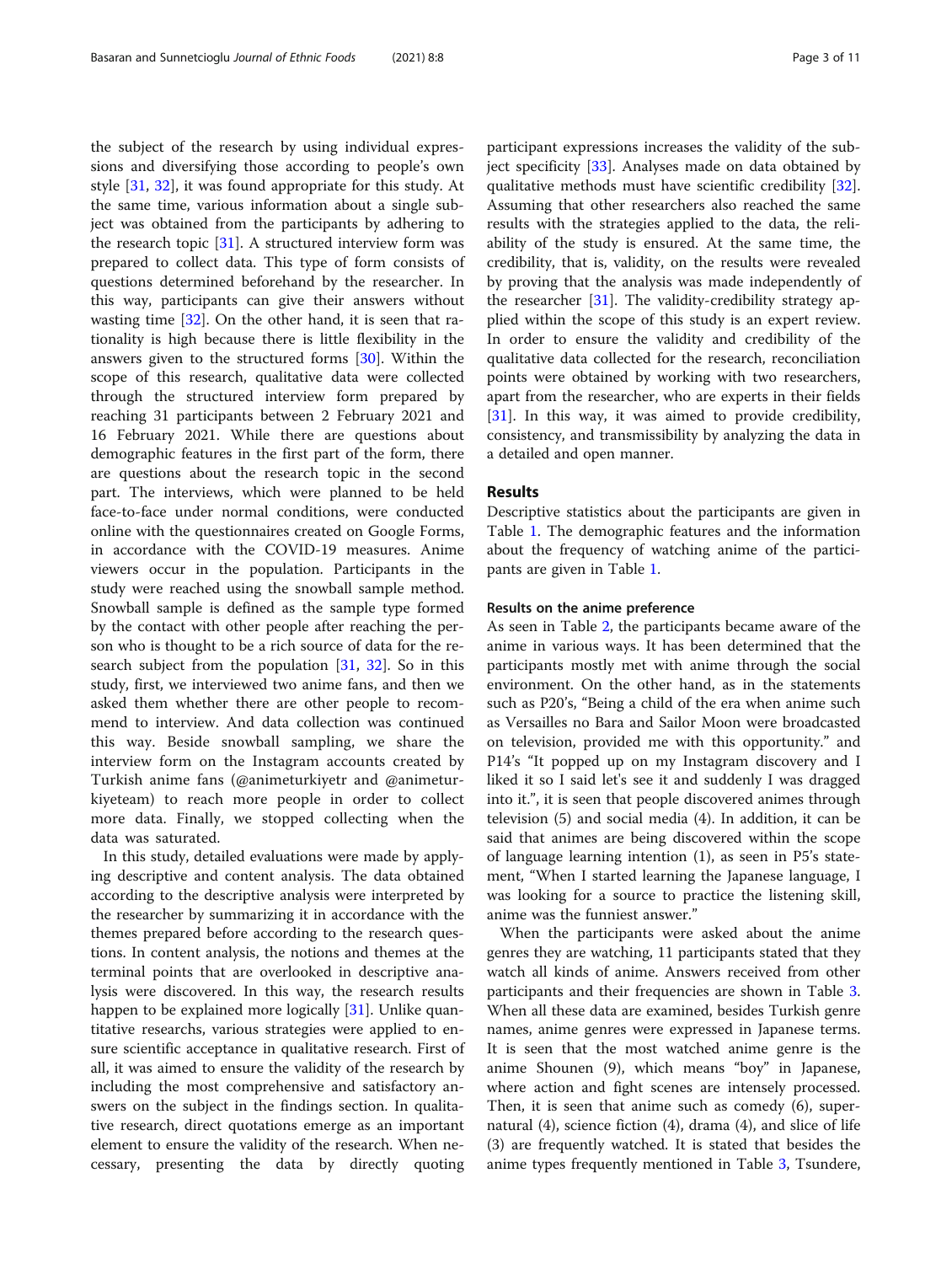the subject of the research by using individual expressions and diversifying those according to people's own style [\[31](#page-10-0), [32\]](#page-10-0), it was found appropriate for this study. At the same time, various information about a single subject was obtained from the participants by adhering to the research topic  $[31]$  $[31]$ . A structured interview form was prepared to collect data. This type of form consists of questions determined beforehand by the researcher. In this way, participants can give their answers without wasting time [\[32\]](#page-10-0). On the other hand, it is seen that rationality is high because there is little flexibility in the answers given to the structured forms [\[30](#page-10-0)]. Within the scope of this research, qualitative data were collected through the structured interview form prepared by reaching 31 participants between 2 February 2021 and 16 February 2021. While there are questions about demographic features in the first part of the form, there are questions about the research topic in the second part. The interviews, which were planned to be held face-to-face under normal conditions, were conducted online with the questionnaires created on Google Forms, in accordance with the COVID-19 measures. Anime viewers occur in the population. Participants in the study were reached using the snowball sample method. Snowball sample is defined as the sample type formed by the contact with other people after reaching the person who is thought to be a rich source of data for the research subject from the population [\[31,](#page-10-0) [32](#page-10-0)]. So in this study, first, we interviewed two anime fans, and then we asked them whether there are other people to recommend to interview. And data collection was continued this way. Beside snowball sampling, we share the interview form on the Instagram accounts created by Turkish anime fans (@animeturkiyetr and @animeturkiyeteam) to reach more people in order to collect more data. Finally, we stopped collecting when the data was saturated.

In this study, detailed evaluations were made by applying descriptive and content analysis. The data obtained according to the descriptive analysis were interpreted by the researcher by summarizing it in accordance with the themes prepared before according to the research questions. In content analysis, the notions and themes at the terminal points that are overlooked in descriptive analysis were discovered. In this way, the research results happen to be explained more logically [[31](#page-10-0)]. Unlike quantitative researchs, various strategies were applied to ensure scientific acceptance in qualitative research. First of all, it was aimed to ensure the validity of the research by including the most comprehensive and satisfactory answers on the subject in the findings section. In qualitative research, direct quotations emerge as an important element to ensure the validity of the research. When necessary, presenting the data by directly quoting

participant expressions increases the validity of the subject specificity [\[33](#page-10-0)]. Analyses made on data obtained by qualitative methods must have scientific credibility [\[32](#page-10-0)]. Assuming that other researchers also reached the same results with the strategies applied to the data, the reliability of the study is ensured. At the same time, the credibility, that is, validity, on the results were revealed by proving that the analysis was made independently of the researcher [[31](#page-10-0)]. The validity-credibility strategy applied within the scope of this study is an expert review. In order to ensure the validity and credibility of the qualitative data collected for the research, reconciliation points were obtained by working with two researchers, apart from the researcher, who are experts in their fields [[31\]](#page-10-0). In this way, it was aimed to provide credibility, consistency, and transmissibility by analyzing the data in a detailed and open manner.

### Results

Descriptive statistics about the participants are given in Table [1](#page-3-0). The demographic features and the information about the frequency of watching anime of the participants are given in Table [1](#page-3-0).

### Results on the anime preference

As seen in Table [2,](#page-3-0) the participants became aware of the anime in various ways. It has been determined that the participants mostly met with anime through the social environment. On the other hand, as in the statements such as P20's, "Being a child of the era when anime such as Versailles no Bara and Sailor Moon were broadcasted on television, provided me with this opportunity." and P14's "It popped up on my Instagram discovery and I liked it so I said let's see it and suddenly I was dragged into it.", it is seen that people discovered animes through television (5) and social media (4). In addition, it can be said that animes are being discovered within the scope of language learning intention (1), as seen in P5's statement, "When I started learning the Japanese language, I was looking for a source to practice the listening skill, anime was the funniest answer."

When the participants were asked about the anime genres they are watching, 11 participants stated that they watch all kinds of anime. Answers received from other participants and their frequencies are shown in Table [3](#page-4-0). When all these data are examined, besides Turkish genre names, anime genres were expressed in Japanese terms. It is seen that the most watched anime genre is the anime Shounen (9), which means "boy" in Japanese, where action and fight scenes are intensely processed. Then, it is seen that anime such as comedy (6), supernatural (4), science fiction (4), drama (4), and slice of life (3) are frequently watched. It is stated that besides the anime types frequently mentioned in Table [3](#page-4-0), Tsundere,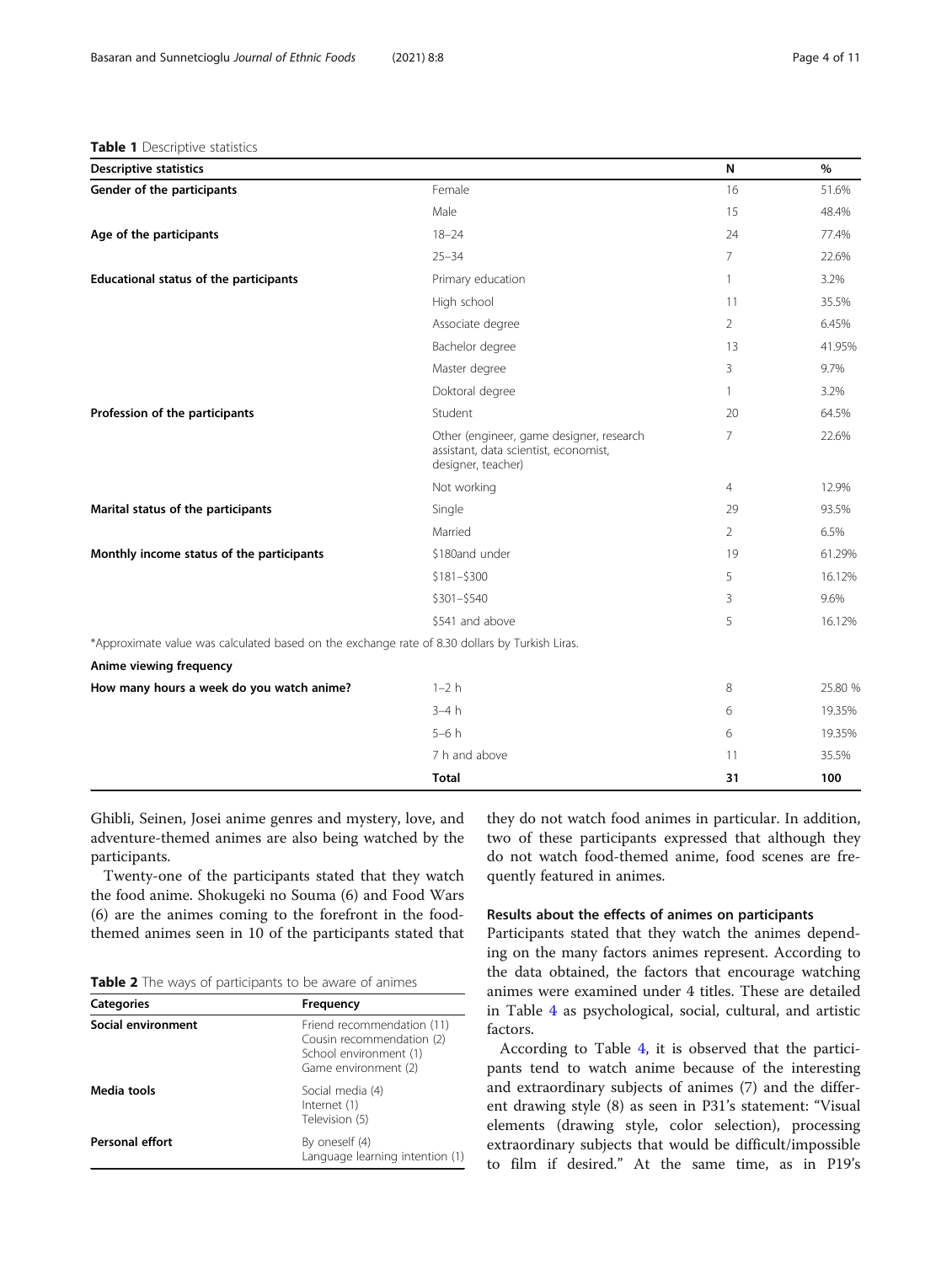## <span id="page-3-0"></span>Table 1 Descriptive statistics

| <b>Descriptive statistics</b>                                                                  |                                                                                                         | N              | $\%$    |
|------------------------------------------------------------------------------------------------|---------------------------------------------------------------------------------------------------------|----------------|---------|
| Gender of the participants                                                                     | Female                                                                                                  | 16             | 51.6%   |
|                                                                                                | Male                                                                                                    | 15             | 48.4%   |
| Age of the participants                                                                        | $18 - 24$                                                                                               | 24             | 77.4%   |
|                                                                                                | $25 - 34$                                                                                               | $\overline{7}$ | 22.6%   |
| Educational status of the participants                                                         | Primary education                                                                                       | 1              | 3.2%    |
|                                                                                                | High school                                                                                             | 11             | 35.5%   |
|                                                                                                | Associate degree                                                                                        | $\overline{2}$ | 6.45%   |
|                                                                                                | Bachelor degree                                                                                         | 13             | 41.95%  |
|                                                                                                | Master degree                                                                                           | 3              | 9.7%    |
|                                                                                                | Doktoral degree                                                                                         | $\mathbf{1}$   | 3.2%    |
| Profession of the participants                                                                 | Student                                                                                                 | 20             | 64.5%   |
|                                                                                                | Other (engineer, game designer, research<br>assistant, data scientist, economist,<br>designer, teacher) | $\overline{7}$ | 22.6%   |
|                                                                                                | Not working                                                                                             | $\overline{4}$ | 12.9%   |
| Marital status of the participants                                                             | Single                                                                                                  | 29             | 93.5%   |
|                                                                                                | Married                                                                                                 | $\overline{2}$ | 6.5%    |
| Monthly income status of the participants                                                      | \$180and under                                                                                          | 19             | 61.29%  |
|                                                                                                | $$181 - $300$                                                                                           | 5              | 16.12%  |
|                                                                                                | $$301 - $540$                                                                                           | 3              | 9.6%    |
|                                                                                                | \$541 and above                                                                                         | 5              | 16.12%  |
| *Approximate value was calculated based on the exchange rate of 8.30 dollars by Turkish Liras. |                                                                                                         |                |         |
| Anime viewing frequency                                                                        |                                                                                                         |                |         |
| How many hours a week do you watch anime?                                                      | $1-2h$                                                                                                  | 8              | 25.80 % |
|                                                                                                | $3-4h$                                                                                                  | 6              | 19.35%  |
|                                                                                                | $5-6h$                                                                                                  | 6              | 19.35%  |
|                                                                                                | 7 h and above                                                                                           | 11             | 35.5%   |
|                                                                                                | <b>Total</b>                                                                                            | 31             | 100     |

Ghibli, Seinen, Josei anime genres and mystery, love, and adventure-themed animes are also being watched by the participants.

Twenty-one of the participants stated that they watch the food anime. Shokugeki no Souma (6) and Food Wars (6) are the animes coming to the forefront in the foodthemed animes seen in 10 of the participants stated that

| Table 2 The ways of participants to be aware of animes |  |
|--------------------------------------------------------|--|
|--------------------------------------------------------|--|

| <b>Categories</b>      | Frequency                                                                                                 |
|------------------------|-----------------------------------------------------------------------------------------------------------|
| Social environment     | Friend recommendation (11)<br>Cousin recommendation (2)<br>School environment (1)<br>Game environment (2) |
| Media tools            | Social media (4)<br>Internet (1)<br>Television (5)                                                        |
| <b>Personal effort</b> | By oneself (4)<br>Language learning intention (1)                                                         |

they do not watch food animes in particular. In addition, two of these participants expressed that although they do not watch food-themed anime, food scenes are frequently featured in animes.

## Results about the effects of animes on participants

Participants stated that they watch the animes depending on the many factors animes represent. According to the data obtained, the factors that encourage watching animes were examined under 4 titles. These are detailed in Table [4](#page-4-0) as psychological, social, cultural, and artistic factors.

According to Table [4](#page-4-0), it is observed that the participants tend to watch anime because of the interesting and extraordinary subjects of animes (7) and the different drawing style (8) as seen in P31's statement: "Visual elements (drawing style, color selection), processing extraordinary subjects that would be difficult/impossible to film if desired." At the same time, as in P19's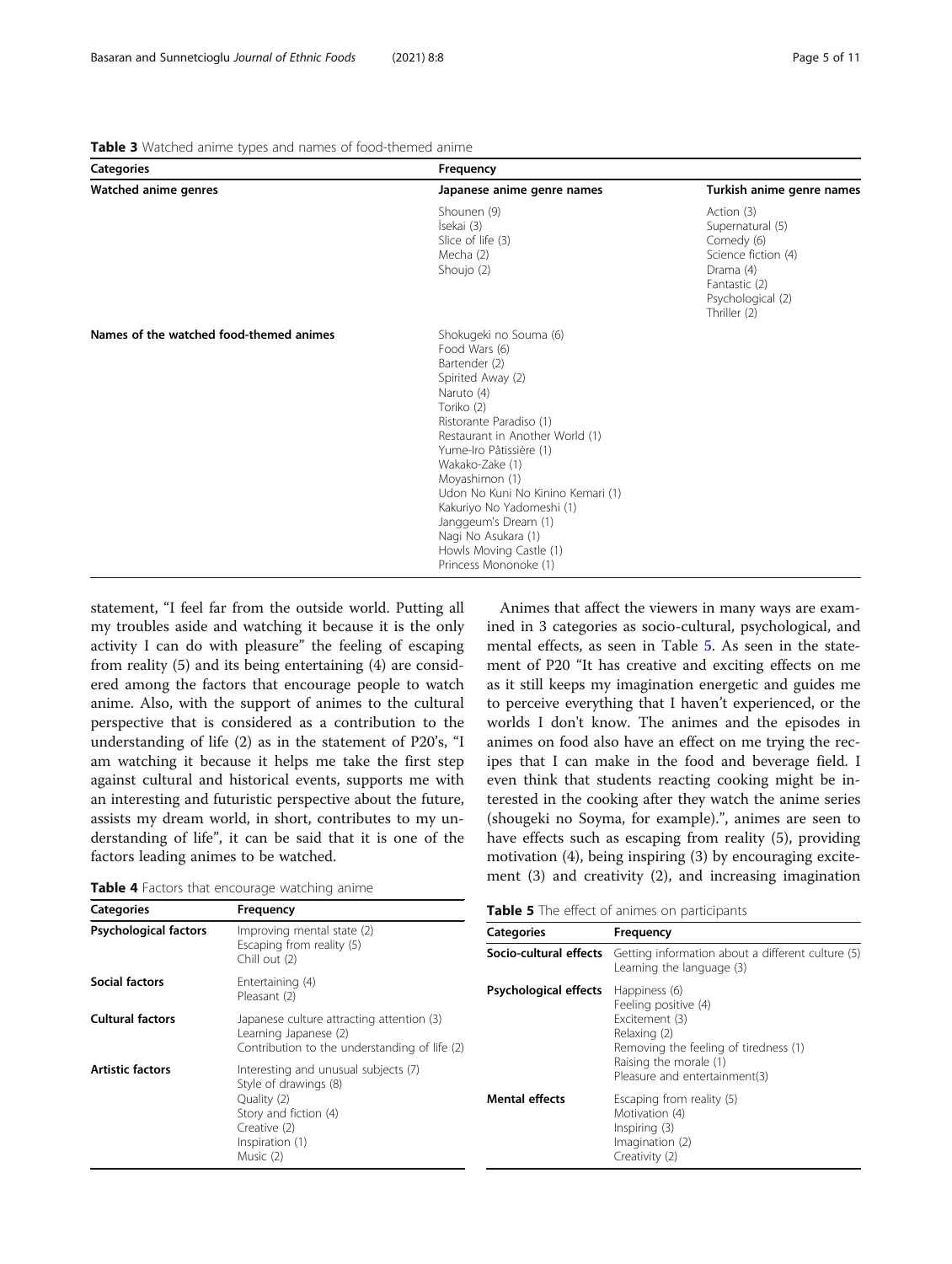<span id="page-4-0"></span>

| Table 3 Watched anime types and names of food-themed anime |  |  |  |  |  |  |  |  |  |
|------------------------------------------------------------|--|--|--|--|--|--|--|--|--|
|------------------------------------------------------------|--|--|--|--|--|--|--|--|--|

| <b>Categories</b>                       | Frequency                                                                                                                                                                                                                                                                                                                                                                                                    |                                                                                                                                        |  |
|-----------------------------------------|--------------------------------------------------------------------------------------------------------------------------------------------------------------------------------------------------------------------------------------------------------------------------------------------------------------------------------------------------------------------------------------------------------------|----------------------------------------------------------------------------------------------------------------------------------------|--|
| Watched anime genres                    | Japanese anime genre names                                                                                                                                                                                                                                                                                                                                                                                   | Turkish anime genre names                                                                                                              |  |
|                                         | Shounen (9)<br>Isekai (3)<br>Slice of life (3)<br>Mecha (2)<br>Shoujo (2)                                                                                                                                                                                                                                                                                                                                    | Action (3)<br>Supernatural (5)<br>Comedy (6)<br>Science fiction (4)<br>Drama (4)<br>Fantastic (2)<br>Psychological (2)<br>Thriller (2) |  |
| Names of the watched food-themed animes | Shokugeki no Souma (6)<br>Food Wars (6)<br>Bartender (2)<br>Spirited Away (2)<br>Naruto (4)<br>Toriko (2)<br>Ristorante Paradiso (1)<br>Restaurant in Another World (1)<br>Yume-Iro Pâtissière (1)<br>Wakako-Zake (1)<br>Moyashimon (1)<br>Udon No Kuni No Kinino Kemari (1)<br>Kakuriyo No Yadomeshi (1)<br>Janggeum's Dream (1)<br>Nagi No Asukara (1)<br>Howls Moving Castle (1)<br>Princess Mononoke (1) |                                                                                                                                        |  |

statement, "I feel far from the outside world. Putting all my troubles aside and watching it because it is the only activity I can do with pleasure" the feeling of escaping from reality (5) and its being entertaining (4) are considered among the factors that encourage people to watch anime. Also, with the support of animes to the cultural perspective that is considered as a contribution to the understanding of life (2) as in the statement of P20's, "I am watching it because it helps me take the first step against cultural and historical events, supports me with an interesting and futuristic perspective about the future, assists my dream world, in short, contributes to my understanding of life", it can be said that it is one of the factors leading animes to be watched.

Table 4 Factors that encourage watching anime

Animes that affect the viewers in many ways are examined in 3 categories as socio-cultural, psychological, and mental effects, as seen in Table 5. As seen in the statement of P20 "It has creative and exciting effects on me as it still keeps my imagination energetic and guides me to perceive everything that I haven't experienced, or the worlds I don't know. The animes and the episodes in animes on food also have an effect on me trying the recipes that I can make in the food and beverage field. I even think that students reacting cooking might be interested in the cooking after they watch the anime series (shougeki no Soyma, for example).", animes are seen to have effects such as escaping from reality (5), providing motivation (4), being inspiring (3) by encouraging excitement (3) and creativity (2), and increasing imagination

|  |  |  |  |  | Table 5 The effect of animes on participants |
|--|--|--|--|--|----------------------------------------------|
|--|--|--|--|--|----------------------------------------------|

| <b>Categories</b>            | Frequency                                                                                                           | <b>Table 5</b> The effect of animes on participants |                                                                                                   |  |  |
|------------------------------|---------------------------------------------------------------------------------------------------------------------|-----------------------------------------------------|---------------------------------------------------------------------------------------------------|--|--|
| <b>Psychological factors</b> | Improving mental state (2)                                                                                          | <b>Categories</b>                                   | Frequency                                                                                         |  |  |
|                              | Escaping from reality (5)<br>Chill out (2)                                                                          | Socio-cultural effects                              | Getting information about a different culture (5)<br>Learning the language (3)                    |  |  |
| Social factors               | Entertaining (4)<br>Pleasant (2)                                                                                    | <b>Psychological effects</b>                        | Happiness (6)<br>Feeling positive (4)                                                             |  |  |
| <b>Cultural factors</b>      | Japanese culture attracting attention (3)<br>Learning Japanese (2)<br>Contribution to the understanding of life (2) |                                                     | Excitement (3)<br>Relaxing (2)<br>Removing the feeling of tiredness (1)                           |  |  |
| <b>Artistic factors</b>      | Interesting and unusual subjects (7)<br>Style of drawings (8)                                                       |                                                     | Raising the morale (1)<br>Pleasure and entertainment(3)                                           |  |  |
|                              | Quality (2)<br>Story and fiction (4)<br>Creative (2)<br>Inspiration (1)<br>Music (2)                                | <b>Mental effects</b>                               | Escaping from reality (5)<br>Motivation (4)<br>Inspiring (3)<br>Imagination (2)<br>Creativity (2) |  |  |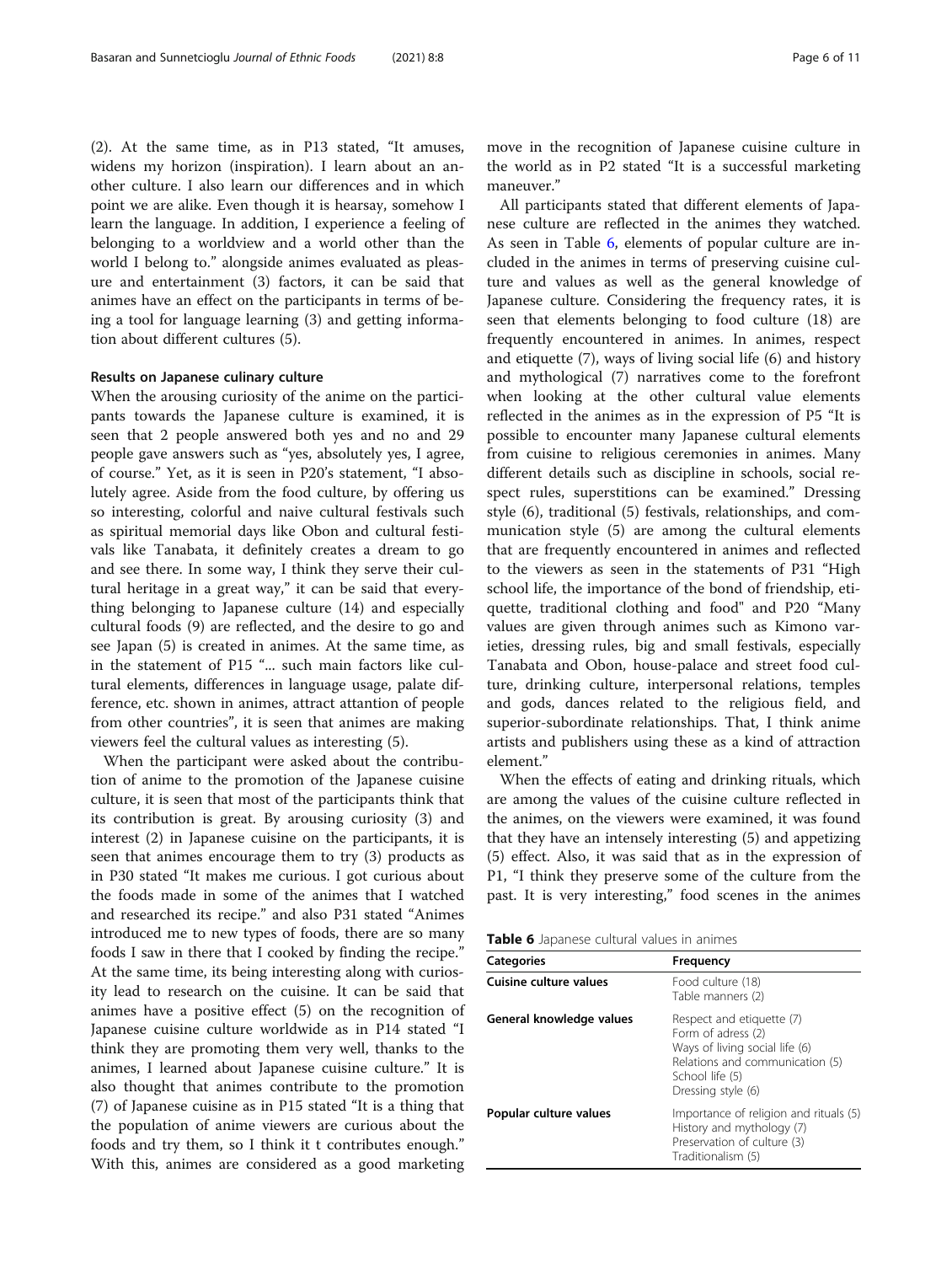(2). At the same time, as in P13 stated, "It amuses, widens my horizon (inspiration). I learn about an another culture. I also learn our differences and in which point we are alike. Even though it is hearsay, somehow I learn the language. In addition, I experience a feeling of belonging to a worldview and a world other than the world I belong to." alongside animes evaluated as pleasure and entertainment (3) factors, it can be said that animes have an effect on the participants in terms of being a tool for language learning (3) and getting informa-

#### Results on Japanese culinary culture

tion about different cultures (5).

When the arousing curiosity of the anime on the participants towards the Japanese culture is examined, it is seen that 2 people answered both yes and no and 29 people gave answers such as "yes, absolutely yes, I agree, of course." Yet, as it is seen in P20's statement, "I absolutely agree. Aside from the food culture, by offering us so interesting, colorful and naive cultural festivals such as spiritual memorial days like Obon and cultural festivals like Tanabata, it definitely creates a dream to go and see there. In some way, I think they serve their cultural heritage in a great way," it can be said that everything belonging to Japanese culture (14) and especially cultural foods (9) are reflected, and the desire to go and see Japan (5) is created in animes. At the same time, as in the statement of P15 "... such main factors like cultural elements, differences in language usage, palate difference, etc. shown in animes, attract attantion of people from other countries", it is seen that animes are making viewers feel the cultural values as interesting (5).

When the participant were asked about the contribution of anime to the promotion of the Japanese cuisine culture, it is seen that most of the participants think that its contribution is great. By arousing curiosity (3) and interest (2) in Japanese cuisine on the participants, it is seen that animes encourage them to try (3) products as in P30 stated "It makes me curious. I got curious about the foods made in some of the animes that I watched and researched its recipe." and also P31 stated "Animes introduced me to new types of foods, there are so many foods I saw in there that I cooked by finding the recipe." At the same time, its being interesting along with curiosity lead to research on the cuisine. It can be said that animes have a positive effect (5) on the recognition of Japanese cuisine culture worldwide as in P14 stated "I think they are promoting them very well, thanks to the animes, I learned about Japanese cuisine culture." It is also thought that animes contribute to the promotion (7) of Japanese cuisine as in P15 stated "It is a thing that the population of anime viewers are curious about the foods and try them, so I think it t contributes enough." With this, animes are considered as a good marketing

move in the recognition of Japanese cuisine culture in the world as in P2 stated "It is a successful marketing maneuver."

All participants stated that different elements of Japanese culture are reflected in the animes they watched. As seen in Table 6, elements of popular culture are included in the animes in terms of preserving cuisine culture and values as well as the general knowledge of Japanese culture. Considering the frequency rates, it is seen that elements belonging to food culture (18) are frequently encountered in animes. In animes, respect and etiquette (7), ways of living social life (6) and history and mythological (7) narratives come to the forefront when looking at the other cultural value elements reflected in the animes as in the expression of P5 "It is possible to encounter many Japanese cultural elements from cuisine to religious ceremonies in animes. Many different details such as discipline in schools, social respect rules, superstitions can be examined." Dressing style (6), traditional (5) festivals, relationships, and communication style (5) are among the cultural elements that are frequently encountered in animes and reflected to the viewers as seen in the statements of P31 "High school life, the importance of the bond of friendship, etiquette, traditional clothing and food" and P20 "Many values are given through animes such as Kimono varieties, dressing rules, big and small festivals, especially Tanabata and Obon, house-palace and street food culture, drinking culture, interpersonal relations, temples and gods, dances related to the religious field, and superior-subordinate relationships. That, I think anime artists and publishers using these as a kind of attraction element."

When the effects of eating and drinking rituals, which are among the values of the cuisine culture reflected in the animes, on the viewers were examined, it was found that they have an intensely interesting (5) and appetizing (5) effect. Also, it was said that as in the expression of P1, "I think they preserve some of the culture from the past. It is very interesting," food scenes in the animes

| Table 6 Japanese cultural values in animes |  |  |  |  |  |
|--------------------------------------------|--|--|--|--|--|
|--------------------------------------------|--|--|--|--|--|

| <b>Categories</b>        | Frequency                                                                                                                                                     |
|--------------------------|---------------------------------------------------------------------------------------------------------------------------------------------------------------|
| Cuisine culture values   | Food culture (18)<br>Table manners (2)                                                                                                                        |
| General knowledge values | Respect and etiquette (7)<br>Form of adress (2)<br>Ways of living social life (6)<br>Relations and communication (5)<br>School life (5)<br>Dressing style (6) |
| Popular culture values   | Importance of religion and rituals (5)<br>History and mythology (7)<br>Preservation of culture (3)<br>Traditionalism (5)                                      |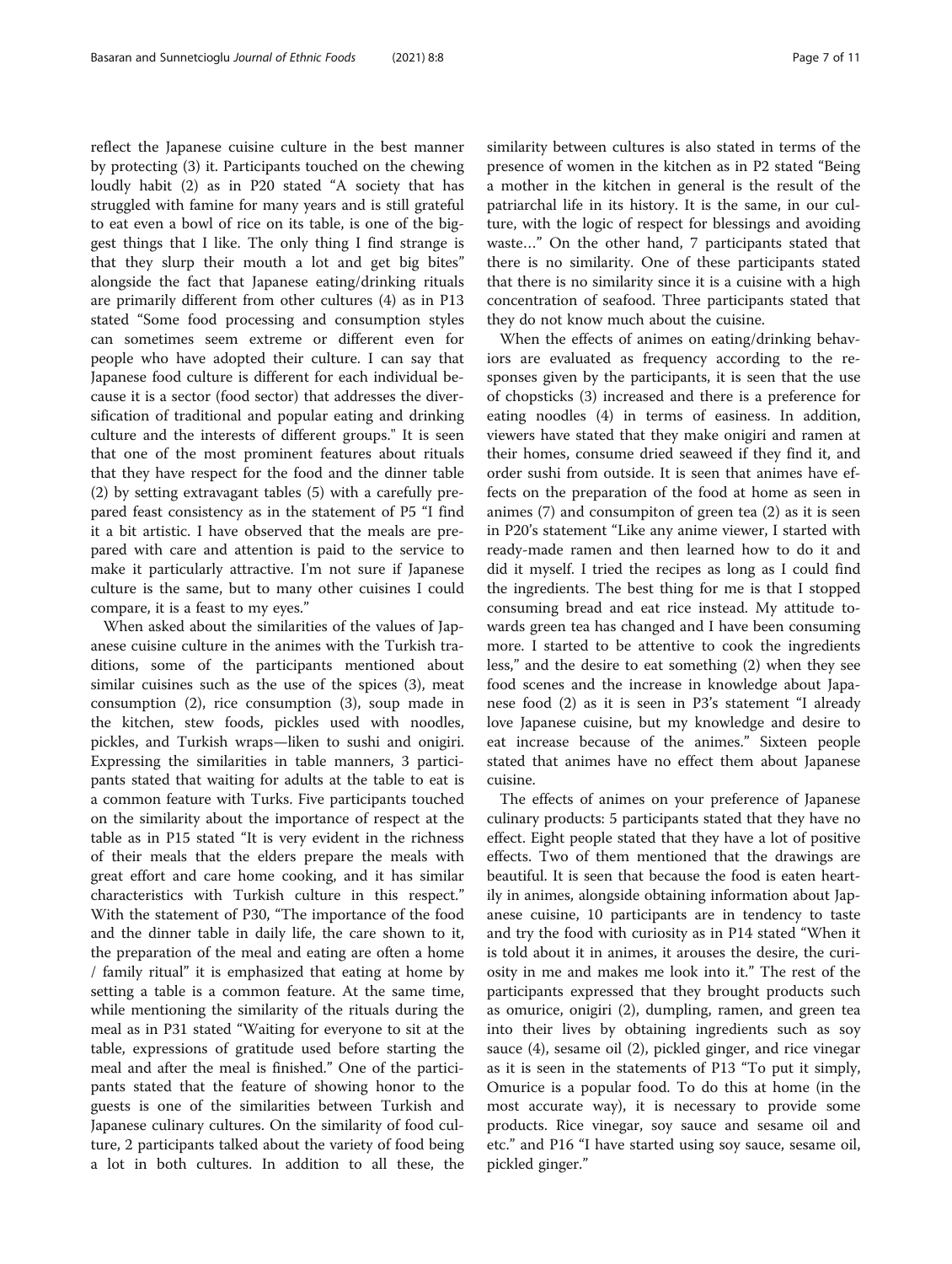reflect the Japanese cuisine culture in the best manner by protecting (3) it. Participants touched on the chewing loudly habit (2) as in P20 stated "A society that has struggled with famine for many years and is still grateful to eat even a bowl of rice on its table, is one of the biggest things that I like. The only thing I find strange is that they slurp their mouth a lot and get big bites" alongside the fact that Japanese eating/drinking rituals are primarily different from other cultures (4) as in P13 stated "Some food processing and consumption styles can sometimes seem extreme or different even for people who have adopted their culture. I can say that Japanese food culture is different for each individual because it is a sector (food sector) that addresses the diversification of traditional and popular eating and drinking culture and the interests of different groups." It is seen that one of the most prominent features about rituals that they have respect for the food and the dinner table (2) by setting extravagant tables (5) with a carefully prepared feast consistency as in the statement of P5 "I find it a bit artistic. I have observed that the meals are prepared with care and attention is paid to the service to make it particularly attractive. I'm not sure if Japanese culture is the same, but to many other cuisines I could compare, it is a feast to my eyes."

When asked about the similarities of the values of Japanese cuisine culture in the animes with the Turkish traditions, some of the participants mentioned about similar cuisines such as the use of the spices (3), meat consumption (2), rice consumption (3), soup made in the kitchen, stew foods, pickles used with noodles, pickles, and Turkish wraps—liken to sushi and onigiri. Expressing the similarities in table manners, 3 participants stated that waiting for adults at the table to eat is a common feature with Turks. Five participants touched on the similarity about the importance of respect at the table as in P15 stated "It is very evident in the richness of their meals that the elders prepare the meals with great effort and care home cooking, and it has similar characteristics with Turkish culture in this respect." With the statement of P30, "The importance of the food and the dinner table in daily life, the care shown to it, the preparation of the meal and eating are often a home / family ritual" it is emphasized that eating at home by setting a table is a common feature. At the same time, while mentioning the similarity of the rituals during the meal as in P31 stated "Waiting for everyone to sit at the table, expressions of gratitude used before starting the meal and after the meal is finished." One of the participants stated that the feature of showing honor to the guests is one of the similarities between Turkish and Japanese culinary cultures. On the similarity of food culture, 2 participants talked about the variety of food being a lot in both cultures. In addition to all these, the similarity between cultures is also stated in terms of the presence of women in the kitchen as in P2 stated "Being a mother in the kitchen in general is the result of the patriarchal life in its history. It is the same, in our culture, with the logic of respect for blessings and avoiding waste…" On the other hand, 7 participants stated that there is no similarity. One of these participants stated that there is no similarity since it is a cuisine with a high concentration of seafood. Three participants stated that they do not know much about the cuisine.

When the effects of animes on eating/drinking behaviors are evaluated as frequency according to the responses given by the participants, it is seen that the use of chopsticks (3) increased and there is a preference for eating noodles (4) in terms of easiness. In addition, viewers have stated that they make onigiri and ramen at their homes, consume dried seaweed if they find it, and order sushi from outside. It is seen that animes have effects on the preparation of the food at home as seen in animes (7) and consumpiton of green tea (2) as it is seen in P20's statement "Like any anime viewer, I started with ready-made ramen and then learned how to do it and did it myself. I tried the recipes as long as I could find the ingredients. The best thing for me is that I stopped consuming bread and eat rice instead. My attitude towards green tea has changed and I have been consuming more. I started to be attentive to cook the ingredients less," and the desire to eat something (2) when they see food scenes and the increase in knowledge about Japanese food (2) as it is seen in P3's statement "I already love Japanese cuisine, but my knowledge and desire to eat increase because of the animes." Sixteen people stated that animes have no effect them about Japanese cuisine.

The effects of animes on your preference of Japanese culinary products: 5 participants stated that they have no effect. Eight people stated that they have a lot of positive effects. Two of them mentioned that the drawings are beautiful. It is seen that because the food is eaten heartily in animes, alongside obtaining information about Japanese cuisine, 10 participants are in tendency to taste and try the food with curiosity as in P14 stated "When it is told about it in animes, it arouses the desire, the curiosity in me and makes me look into it." The rest of the participants expressed that they brought products such as omurice, onigiri (2), dumpling, ramen, and green tea into their lives by obtaining ingredients such as soy sauce (4), sesame oil (2), pickled ginger, and rice vinegar as it is seen in the statements of P13 "To put it simply, Omurice is a popular food. To do this at home (in the most accurate way), it is necessary to provide some products. Rice vinegar, soy sauce and sesame oil and etc." and P16 "I have started using soy sauce, sesame oil, pickled ginger."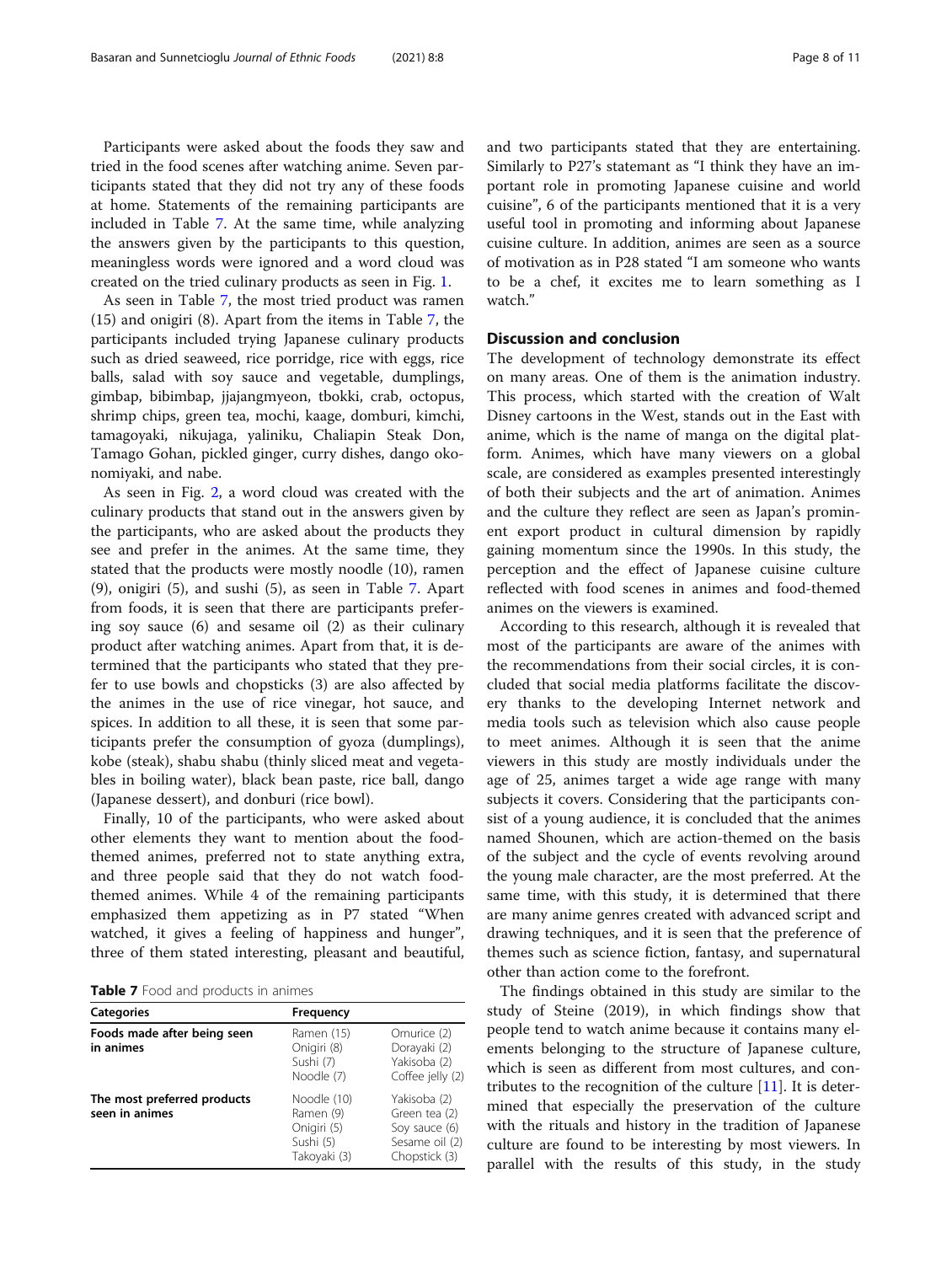Participants were asked about the foods they saw and tried in the food scenes after watching anime. Seven participants stated that they did not try any of these foods at home. Statements of the remaining participants are included in Table 7. At the same time, while analyzing the answers given by the participants to this question, meaningless words were ignored and a word cloud was created on the tried culinary products as seen in Fig. [1](#page-8-0).

As seen in Table 7, the most tried product was ramen (15) and onigiri (8). Apart from the items in Table 7, the participants included trying Japanese culinary products such as dried seaweed, rice porridge, rice with eggs, rice balls, salad with soy sauce and vegetable, dumplings, gimbap, bibimbap, jjajangmyeon, tbokki, crab, octopus, shrimp chips, green tea, mochi, kaage, domburi, kimchi, tamagoyaki, nikujaga, yaliniku, Chaliapin Steak Don, Tamago Gohan, pickled ginger, curry dishes, dango okonomiyaki, and nabe.

As seen in Fig. [2,](#page-8-0) a word cloud was created with the culinary products that stand out in the answers given by the participants, who are asked about the products they see and prefer in the animes. At the same time, they stated that the products were mostly noodle (10), ramen (9), onigiri (5), and sushi (5), as seen in Table 7. Apart from foods, it is seen that there are participants prefering soy sauce (6) and sesame oil (2) as their culinary product after watching animes. Apart from that, it is determined that the participants who stated that they prefer to use bowls and chopsticks (3) are also affected by the animes in the use of rice vinegar, hot sauce, and spices. In addition to all these, it is seen that some participants prefer the consumption of gyoza (dumplings), kobe (steak), shabu shabu (thinly sliced meat and vegetables in boiling water), black bean paste, rice ball, dango (Japanese dessert), and donburi (rice bowl).

Finally, 10 of the participants, who were asked about other elements they want to mention about the foodthemed animes, preferred not to state anything extra, and three people said that they do not watch foodthemed animes. While 4 of the remaining participants emphasized them appetizing as in P7 stated "When watched, it gives a feeling of happiness and hunger", three of them stated interesting, pleasant and beautiful,

Table 7 Food and products in animes

| <b>Categories</b>                             | Frequency                                                            |                                                                                   |
|-----------------------------------------------|----------------------------------------------------------------------|-----------------------------------------------------------------------------------|
| Foods made after being seen<br>in animes      | Ramen (15)<br>Onigiri (8)<br>Sushi (7)<br>Noodle (7)                 | Omurice (2)<br>Dorayaki (2)<br>Yakisoba (2)<br>Coffee jelly (2)                   |
| The most preferred products<br>seen in animes | Noodle (10)<br>Ramen (9)<br>Onigiri (5)<br>Sushi (5)<br>Takoyaki (3) | Yakisoba (2)<br>Green tea (2)<br>Soy sauce (6)<br>Sesame oil (2)<br>Chopstick (3) |

and two participants stated that they are entertaining. Similarly to P27's statemant as "I think they have an important role in promoting Japanese cuisine and world cuisine", 6 of the participants mentioned that it is a very useful tool in promoting and informing about Japanese cuisine culture. In addition, animes are seen as a source of motivation as in P28 stated "I am someone who wants to be a chef, it excites me to learn something as I watch."

## Discussion and conclusion

The development of technology demonstrate its effect on many areas. One of them is the animation industry. This process, which started with the creation of Walt Disney cartoons in the West, stands out in the East with anime, which is the name of manga on the digital platform. Animes, which have many viewers on a global scale, are considered as examples presented interestingly of both their subjects and the art of animation. Animes and the culture they reflect are seen as Japan's prominent export product in cultural dimension by rapidly gaining momentum since the 1990s. In this study, the perception and the effect of Japanese cuisine culture reflected with food scenes in animes and food-themed animes on the viewers is examined.

According to this research, although it is revealed that most of the participants are aware of the animes with the recommendations from their social circles, it is concluded that social media platforms facilitate the discovery thanks to the developing Internet network and media tools such as television which also cause people to meet animes. Although it is seen that the anime viewers in this study are mostly individuals under the age of 25, animes target a wide age range with many subjects it covers. Considering that the participants consist of a young audience, it is concluded that the animes named Shounen, which are action-themed on the basis of the subject and the cycle of events revolving around the young male character, are the most preferred. At the same time, with this study, it is determined that there are many anime genres created with advanced script and drawing techniques, and it is seen that the preference of themes such as science fiction, fantasy, and supernatural other than action come to the forefront.

The findings obtained in this study are similar to the study of Steine (2019), in which findings show that people tend to watch anime because it contains many elements belonging to the structure of Japanese culture, which is seen as different from most cultures, and contributes to the recognition of the culture [\[11](#page-10-0)]. It is determined that especially the preservation of the culture with the rituals and history in the tradition of Japanese culture are found to be interesting by most viewers. In parallel with the results of this study, in the study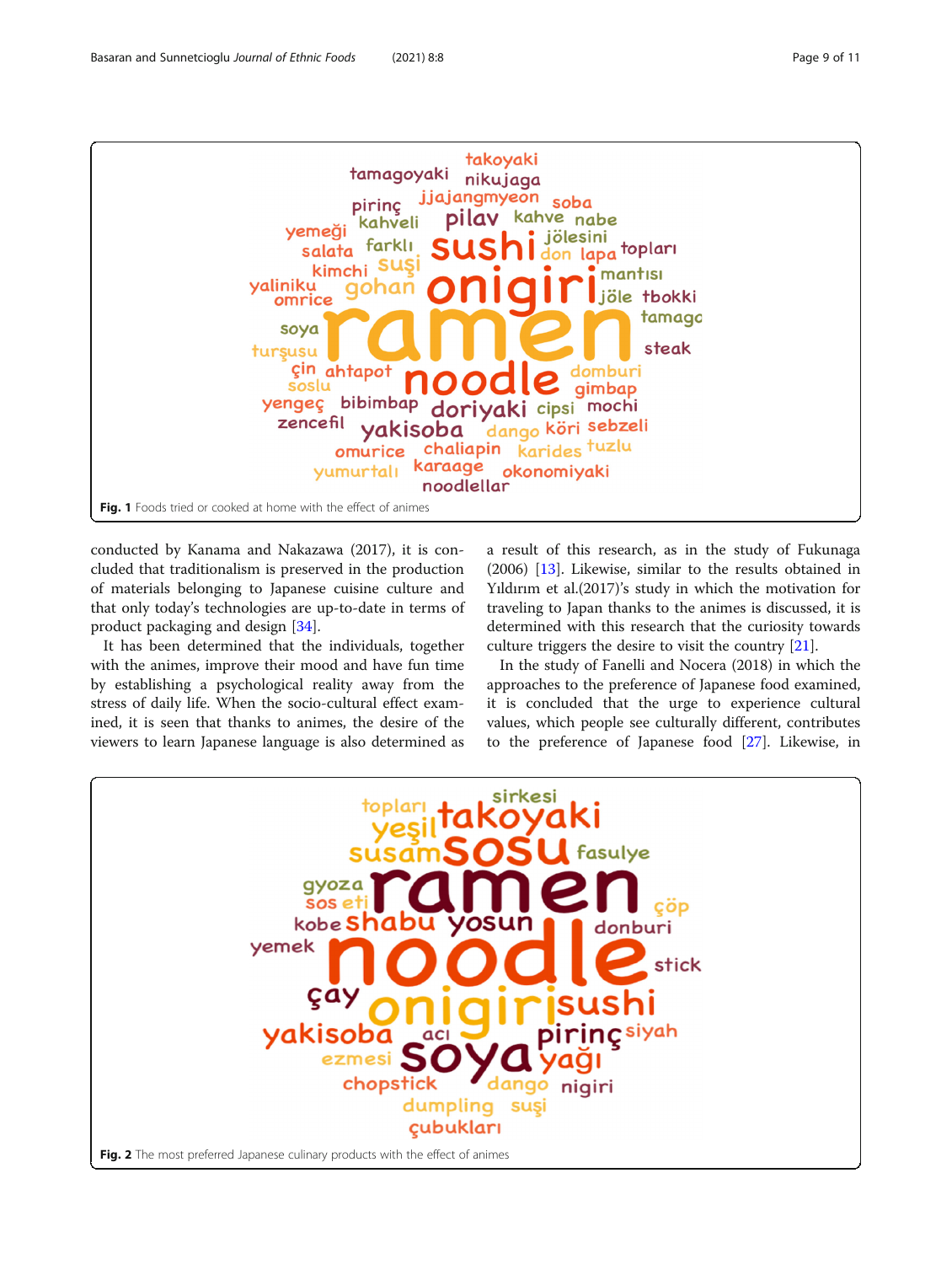<span id="page-8-0"></span>

conducted by Kanama and Nakazawa (2017), it is concluded that traditionalism is preserved in the production of materials belonging to Japanese cuisine culture and that only today's technologies are up-to-date in terms of product packaging and design [[34](#page-10-0)].

It has been determined that the individuals, together with the animes, improve their mood and have fun time by establishing a psychological reality away from the stress of daily life. When the socio-cultural effect examined, it is seen that thanks to animes, the desire of the viewers to learn Japanese language is also determined as a result of this research, as in the study of Fukunaga (2006) [\[13\]](#page-10-0). Likewise, similar to the results obtained in Yıldırım et al.(2017)'s study in which the motivation for traveling to Japan thanks to the animes is discussed, it is determined with this research that the curiosity towards culture triggers the desire to visit the country [\[21\]](#page-10-0).

In the study of Fanelli and Nocera (2018) in which the approaches to the preference of Japanese food examined, it is concluded that the urge to experience cultural values, which people see culturally different, contributes to the preference of Japanese food [\[27\]](#page-10-0). Likewise, in

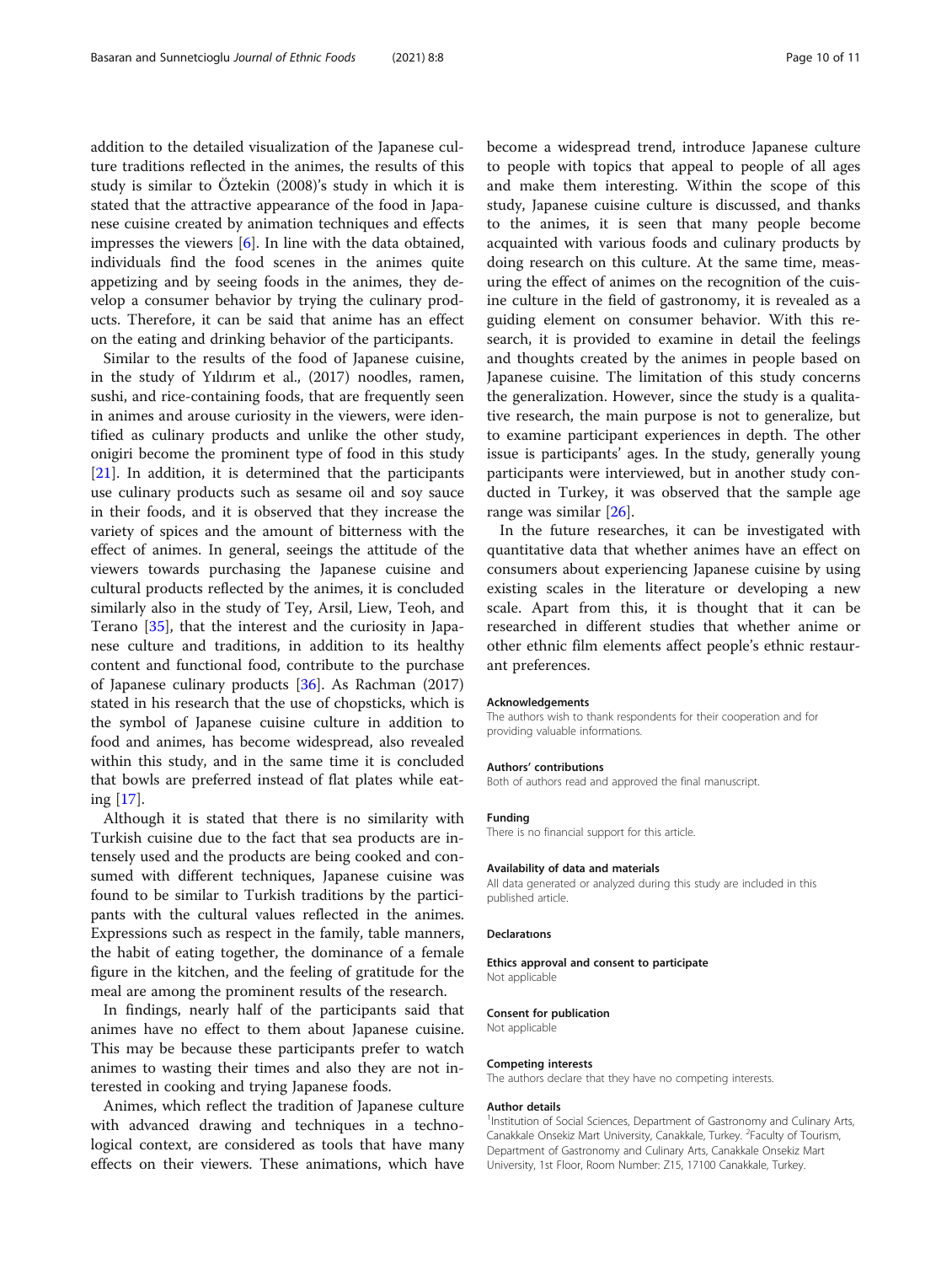addition to the detailed visualization of the Japanese culture traditions reflected in the animes, the results of this study is similar to Öztekin (2008)'s study in which it is stated that the attractive appearance of the food in Japanese cuisine created by animation techniques and effects impresses the viewers [\[6](#page-10-0)]. In line with the data obtained, individuals find the food scenes in the animes quite appetizing and by seeing foods in the animes, they develop a consumer behavior by trying the culinary products. Therefore, it can be said that anime has an effect on the eating and drinking behavior of the participants.

Similar to the results of the food of Japanese cuisine, in the study of Yıldırım et al., (2017) noodles, ramen, sushi, and rice-containing foods, that are frequently seen in animes and arouse curiosity in the viewers, were identified as culinary products and unlike the other study, onigiri become the prominent type of food in this study [[21\]](#page-10-0). In addition, it is determined that the participants use culinary products such as sesame oil and soy sauce in their foods, and it is observed that they increase the variety of spices and the amount of bitterness with the effect of animes. In general, seeings the attitude of the viewers towards purchasing the Japanese cuisine and cultural products reflected by the animes, it is concluded similarly also in the study of Tey, Arsil, Liew, Teoh, and Terano [\[35](#page-10-0)], that the interest and the curiosity in Japanese culture and traditions, in addition to its healthy content and functional food, contribute to the purchase of Japanese culinary products [\[36\]](#page-10-0). As Rachman (2017) stated in his research that the use of chopsticks, which is the symbol of Japanese cuisine culture in addition to food and animes, has become widespread, also revealed within this study, and in the same time it is concluded that bowls are preferred instead of flat plates while eating [\[17](#page-10-0)].

Although it is stated that there is no similarity with Turkish cuisine due to the fact that sea products are intensely used and the products are being cooked and consumed with different techniques, Japanese cuisine was found to be similar to Turkish traditions by the participants with the cultural values reflected in the animes. Expressions such as respect in the family, table manners, the habit of eating together, the dominance of a female figure in the kitchen, and the feeling of gratitude for the meal are among the prominent results of the research.

In findings, nearly half of the participants said that animes have no effect to them about Japanese cuisine. This may be because these participants prefer to watch animes to wasting their times and also they are not interested in cooking and trying Japanese foods.

Animes, which reflect the tradition of Japanese culture with advanced drawing and techniques in a technological context, are considered as tools that have many effects on their viewers. These animations, which have become a widespread trend, introduce Japanese culture to people with topics that appeal to people of all ages and make them interesting. Within the scope of this study, Japanese cuisine culture is discussed, and thanks to the animes, it is seen that many people become acquainted with various foods and culinary products by doing research on this culture. At the same time, measuring the effect of animes on the recognition of the cuisine culture in the field of gastronomy, it is revealed as a guiding element on consumer behavior. With this research, it is provided to examine in detail the feelings and thoughts created by the animes in people based on Japanese cuisine. The limitation of this study concerns the generalization. However, since the study is a qualitative research, the main purpose is not to generalize, but to examine participant experiences in depth. The other issue is participants' ages. In the study, generally young participants were interviewed, but in another study conducted in Turkey, it was observed that the sample age range was similar [\[26\]](#page-10-0).

In the future researches, it can be investigated with quantitative data that whether animes have an effect on consumers about experiencing Japanese cuisine by using existing scales in the literature or developing a new scale. Apart from this, it is thought that it can be researched in different studies that whether anime or other ethnic film elements affect people's ethnic restaurant preferences.

#### Acknowledgements

The authors wish to thank respondents for their cooperation and for providing valuable informations.

#### Authors' contributions

Both of authors read and approved the final manuscript.

#### Funding

There is no financial support for this article.

#### Availability of data and materials

All data generated or analyzed during this study are included in this published article.

#### Declaratıons

Ethics approval and consent to participate Not applicable

#### Consent for publication

Not applicable

#### Competing interests

The authors declare that they have no competing interests.

#### Author details

<sup>1</sup>Institution of Social Sciences, Department of Gastronomy and Culinary Arts Canakkale Onsekiz Mart University, Canakkale, Turkey. <sup>2</sup> Faculty of Tourism Department of Gastronomy and Culinary Arts, Canakkale Onsekiz Mart University, 1st Floor, Room Number: Z15, 17100 Canakkale, Turkey.